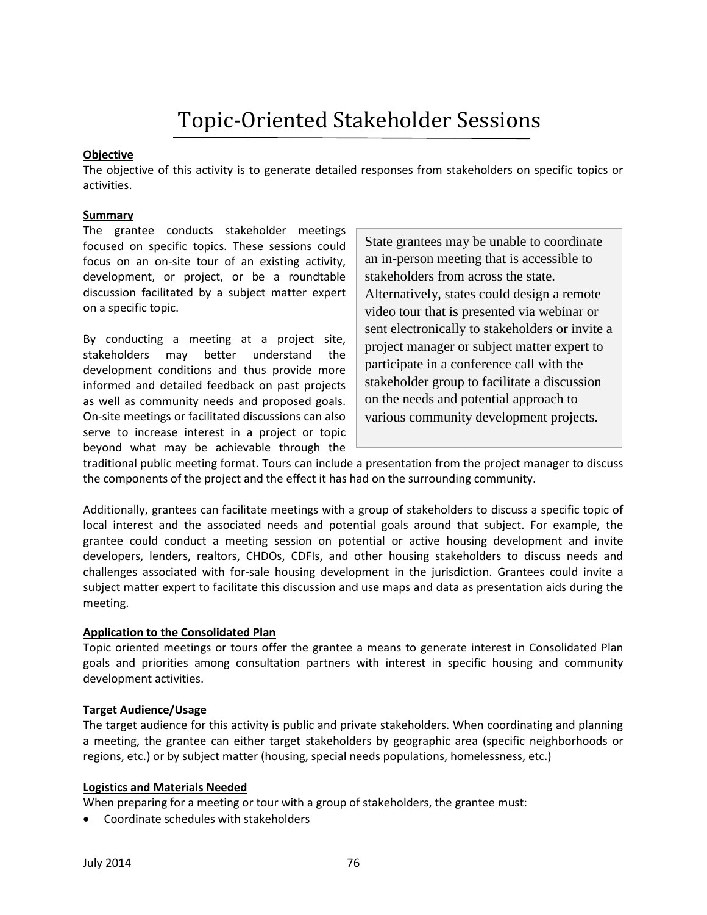# Topic-Oriented Stakeholder Sessions

## **Objective**

The objective of this activity is to generate detailed responses from stakeholders on specific topics or activities.

### **Summary**

The grantee conducts stakeholder meetings focused on specific topics. These sessions could focus on an on-site tour of an existing activity, development, or project, or be a roundtable discussion facilitated by a subject matter expert on a specific topic.

By conducting a meeting at a project site, stakeholders may better understand the development conditions and thus provide more informed and detailed feedback on past projects as well as community needs and proposed goals. On-site meetings or facilitated discussions can also serve to increase interest in a project or topic beyond what may be achievable through the State grantees may be unable to coordinate an in-person meeting that is accessible to stakeholders from across the state. Alternatively, states could design a remote video tour that is presented via webinar or sent electronically to stakeholders or invite a project manager or subject matter expert to participate in a conference call with the stakeholder group to facilitate a discussion on the needs and potential approach to various community development projects.

traditional public meeting format. Tours can include a presentation from the project manager to discuss the components of the project and the effect it has had on the surrounding community.

Additionally, grantees can facilitate meetings with a group of stakeholders to discuss a specific topic of local interest and the associated needs and potential goals around that subject. For example, the grantee could conduct a meeting session on potential or active housing development and invite developers, lenders, realtors, CHDOs, CDFIs, and other housing stakeholders to discuss needs and challenges associated with for-sale housing development in the jurisdiction. Grantees could invite a subject matter expert to facilitate this discussion and use maps and data as presentation aids during the meeting.

#### **Application to the Consolidated Plan**

Topic oriented meetings or tours offer the grantee a means to generate interest in Consolidated Plan goals and priorities among consultation partners with interest in specific housing and community development activities.

## **Target Audience/Usage**

The target audience for this activity is public and private stakeholders. When coordinating and planning a meeting, the grantee can either target stakeholders by geographic area (specific neighborhoods or regions, etc.) or by subject matter (housing, special needs populations, homelessness, etc.)

#### **Logistics and Materials Needed**

When preparing for a meeting or tour with a group of stakeholders, the grantee must:

Coordinate schedules with stakeholders